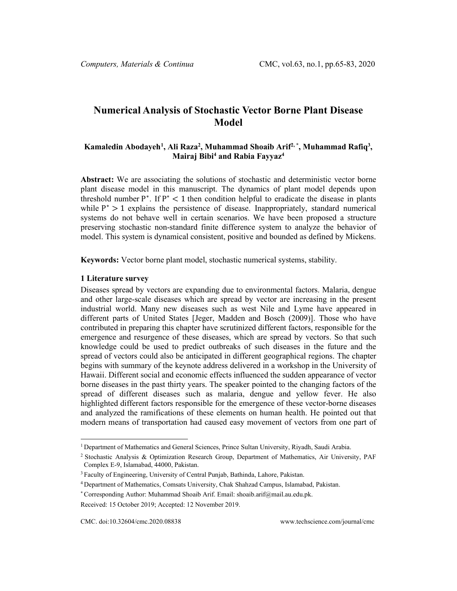# **Numerical Analysis of Stochastic Vector Borne Plant Disease Model**

## Kamaledin Abodayeh<sup>[1](#page-0-0)</sup>, Ali Raza<sup>2</sup>, Muhammad Shoaib Arif<sup>2,\*</sup>, Muhammad Rafiq<sup>3</sup>, **Mairaj Bibi4 and Rabia Fayyaz4**

**Abstract:** We are associating the solutions of stochastic and deterministic vector borne plant disease model in this manuscript. The dynamics of plant model depends upon threshold number  $P^*$ . If  $P^*$  < 1 then condition helpful to eradicate the disease in plants while  $P^* > 1$  explains the persistence of disease. Inappropriately, standard numerical systems do not behave well in certain scenarios. We have been proposed a structure preserving stochastic non-standard finite difference system to analyze the behavior of model. This system is dynamical consistent, positive and bounded as defined by Mickens.

**Keywords:** Vector borne plant model, stochastic numerical systems, stability.

#### **1 Literature survey**

Diseases spread by vectors are expanding due to environmental factors. Malaria, dengue and other large-scale diseases which are spread by vector are increasing in the present industrial world. Many new diseases such as west Nile and Lyme have appeared in different parts of United States [Jeger, Madden and Bosch (2009)]. Those who have contributed in preparing this chapter have scrutinized different factors, responsible for the emergence and resurgence of these diseases, which are spread by vectors. So that such knowledge could be used to predict outbreaks of such diseases in the future and the spread of vectors could also be anticipated in different geographical regions. The chapter begins with summary of the keynote address delivered in a workshop in the University of Hawaii. Different social and economic effects influenced the sudden appearance of vector borne diseases in the past thirty years. The speaker pointed to the changing factors of the spread of different diseases such as malaria, dengue and yellow fever. He also highlighted different factors responsible for the emergence of these vector-borne diseases and analyzed the ramifications of these elements on human health. He pointed out that modern means of transportation had caused easy movement of vectors from one part of

<sup>1</sup> Department of Mathematics and General Sciences, Prince Sultan University, Riyadh, Saudi Arabia.

<span id="page-0-0"></span><sup>2</sup> Stochastic Analysis & Optimization Research Group, Department of Mathematics, Air University, PAF Complex E-9, Islamabad, 44000, Pakistan.

<sup>3</sup> Faculty of Engineering, University of Central Punjab, Bathinda, Lahore, Pakistan.

<sup>4</sup> Department of Mathematics, Comsats University, Chak Shahzad Campus, Islamabad, Pakistan.

<sup>\*</sup> Corresponding Author: Muhammad Shoaib Arif. Email: shoaib.arif@mail.au.edu.pk.

Received: 15 October 2019; Accepted: 12 November 2019.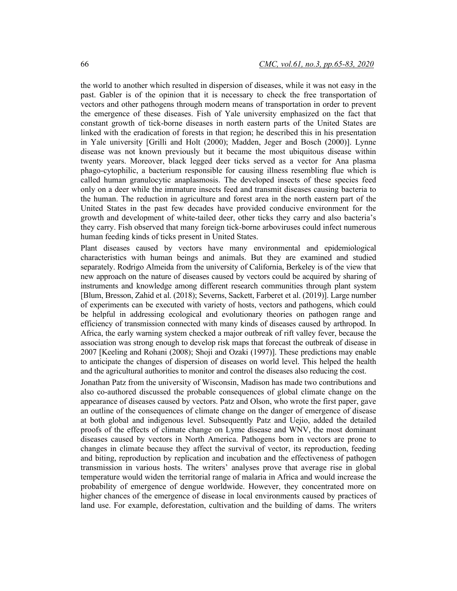the world to another which resulted in dispersion of diseases, while it was not easy in the past. Gabler is of the opinion that it is necessary to check the free transportation of vectors and other pathogens through modern means of transportation in order to prevent the emergence of these diseases. Fish of Yale university emphasized on the fact that constant growth of tick-borne diseases in north eastern parts of the United States are linked with the eradication of forests in that region; he described this in his presentation in Yale university [Grilli and Holt (2000); Madden, Jeger and Bosch (2000)]. Lynne disease was not known previously but it became the most ubiquitous disease within twenty years. Moreover, black legged deer ticks served as a vector for Ana plasma phago-cytophilic, a bacterium responsible for causing illness resembling flue which is called human granulocytic anaplasmosis. The developed insects of these species feed only on a deer while the immature insects feed and transmit diseases causing bacteria to the human. The reduction in agriculture and forest area in the north eastern part of the United States in the past few decades have provided conducive environment for the growth and development of white-tailed deer, other ticks they carry and also bacteria's they carry. Fish observed that many foreign tick-borne arboviruses could infect numerous human feeding kinds of ticks present in United States.

Plant diseases caused by vectors have many environmental and epidemiological characteristics with human beings and animals. But they are examined and studied separately. Rodrigo Almeida from the university of California, Berkeley is of the view that new approach on the nature of diseases caused by vectors could be acquired by sharing of instruments and knowledge among different research communities through plant system [Blum, Bresson, Zahid et al. (2018); Severns, Sackett, Farberet et al. (2019)]. Large number of experiments can be executed with variety of hosts, vectors and pathogens, which could be helpful in addressing ecological and evolutionary theories on pathogen range and efficiency of transmission connected with many kinds of diseases caused by arthropod. In Africa, the early warning system checked a major outbreak of rift valley fever, because the association was strong enough to develop risk maps that forecast the outbreak of disease in 2007 [Keeling and Rohani (2008); Shoji and Ozaki (1997)]. These predictions may enable to anticipate the changes of dispersion of diseases on world level. This helped the health and the agricultural authorities to monitor and control the diseases also reducing the cost.

Jonathan Patz from the university of Wisconsin, Madison has made two contributions and also co-authored discussed the probable consequences of global climate change on the appearance of diseases caused by vectors. Patz and Olson, who wrote the first paper, gave an outline of the consequences of climate change on the danger of emergence of disease at both global and indigenous level. Subsequently Patz and Uejio, added the detailed proofs of the effects of climate change on Lyme disease and WNV, the most dominant diseases caused by vectors in North America. Pathogens born in vectors are prone to changes in climate because they affect the survival of vector, its reproduction, feeding and biting, reproduction by replication and incubation and the effectiveness of pathogen transmission in various hosts. The writers' analyses prove that average rise in global temperature would widen the territorial range of malaria in Africa and would increase the probability of emergence of dengue worldwide. However, they concentrated more on higher chances of the emergence of disease in local environments caused by practices of land use. For example, deforestation, cultivation and the building of dams. The writers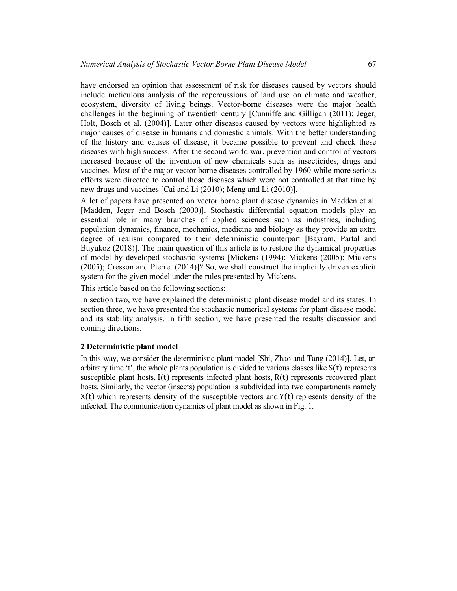have endorsed an opinion that assessment of risk for diseases caused by vectors should include meticulous analysis of the repercussions of land use on climate and weather, ecosystem, diversity of living beings. Vector-borne diseases were the major health challenges in the beginning of twentieth century [Cunniffe and Gilligan (2011); Jeger, Holt, Bosch et al. (2004)]. Later other diseases caused by vectors were highlighted as major causes of disease in humans and domestic animals. With the better understanding of the history and causes of disease, it became possible to prevent and check these diseases with high success. After the second world war, prevention and control of vectors increased because of the invention of new chemicals such as insecticides, drugs and vaccines. Most of the major vector borne diseases controlled by 1960 while more serious efforts were directed to control those diseases which were not controlled at that time by new drugs and vaccines [Cai and Li (2010); Meng and Li (2010)].

A lot of papers have presented on vector borne plant disease dynamics in Madden et al. [Madden, Jeger and Bosch (2000)]. Stochastic differential equation models play an essential role in many branches of applied sciences such as industries, including population dynamics, finance, mechanics, medicine and biology as they provide an extra degree of realism compared to their deterministic counterpart [Bayram, Partal and Buyukoz (2018)]. The main question of this article is to restore the dynamical properties of model by developed stochastic systems [Mickens (1994); Mickens (2005); Mickens (2005); Cresson and Pierret (2014)]? So, we shall construct the implicitly driven explicit system for the given model under the rules presented by Mickens.

This article based on the following sections:

In section two, we have explained the deterministic plant disease model and its states. In section three, we have presented the stochastic numerical systems for plant disease model and its stability analysis. In fifth section, we have presented the results discussion and coming directions.

#### **2 Deterministic plant model**

In this way, we consider the deterministic plant model [Shi, Zhao and Tang (2014)]. Let, an arbitrary time 't', the whole plants population is divided to various classes like  $S(t)$  represents susceptible plant hosts, I(t) represents infected plant hosts, R(t) represents recovered plant hosts. Similarly, the vector (insects) population is subdivided into two compartments namely  $X(t)$  which represents density of the susceptible vectors and  $Y(t)$  represents density of the infected. The communication dynamics of plant model as shown in Fig. 1.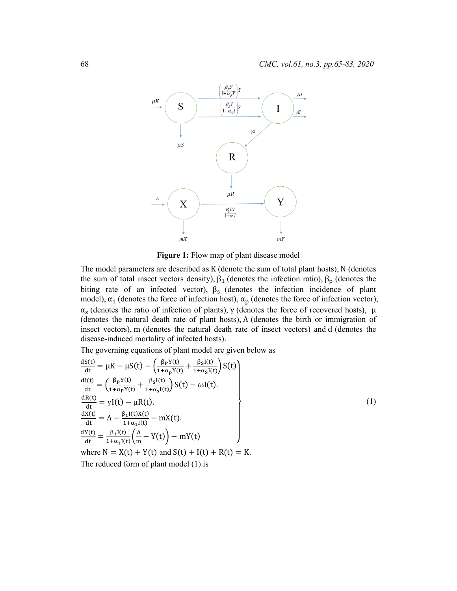

**Figure 1:** Flow map of plant disease model

The model parameters are described as K (denote the sum of total plant hosts), N (denotes the sum of total insect vectors density),  $\beta_1$  (denotes the infection ratio),  $\beta_p$  (denotes the biting rate of an infected vector),  $\beta_s$  (denotes the infection incidence of plant model),  $\alpha_1$  (denotes the force of infection host),  $\alpha_p$  (denotes the force of infection vector),  $\alpha_s$  (denotes the ratio of infection of plants),  $\gamma$  (denotes the force of recovered hosts),  $\mu$ (denotes the natural death rate of plant hosts), Λ (denotes the birth or immigration of insect vectors), m (denotes the natural death rate of insect vectors) and d (denotes the disease-induced mortality of infected hosts).

The governing equations of plant model are given below as

$$
\frac{dS(t)}{dt} = \mu K - \mu S(t) - \left(\frac{\beta_P Y(t)}{1 + \alpha_P Y(t)} + \frac{\beta_S I(t)}{1 + \alpha_S I(t)}\right) S(t)
$$
\n
$$
\frac{dI(t)}{dt} = \left(\frac{\beta_P Y(t)}{1 + \alpha_P Y(t)} + \frac{\beta_S I(t)}{1 + \alpha_S I(t)}\right) S(t) - \omega I(t).
$$
\n
$$
\frac{dR(t)}{dt} = \gamma I(t) - \mu R(t).
$$
\n
$$
\frac{dX(t)}{dt} = \Lambda - \frac{\beta_I I(t) X(t)}{1 + \alpha_I I(t)} - mX(t).
$$
\n
$$
\frac{dY(t)}{dt} = \frac{\beta_I I(t)}{1 + \alpha_I I(t)} \left(\frac{\Lambda}{m} - Y(t)\right) - mY(t)
$$
\nwhere N = X(t) + Y(t) and S(t) + I(t) + R(t) = K.

The reduced form of plant model (1) is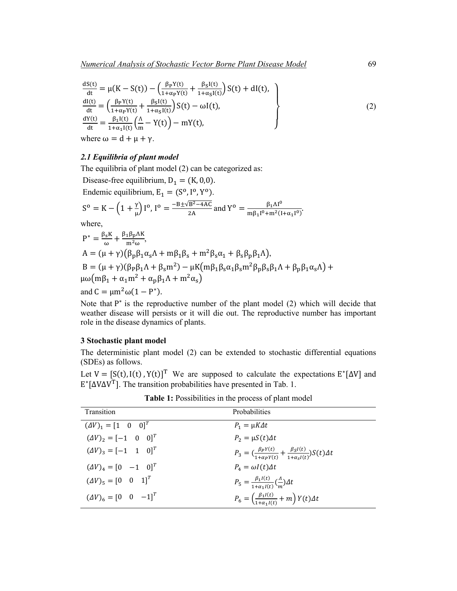$$
\frac{dS(t)}{dt} = \mu(K - S(t)) - \left(\frac{\beta_P Y(t)}{1 + \alpha_P Y(t)} + \frac{\beta_S I(t)}{1 + \alpha_S I(t)}\right) S(t) + dI(t),
$$
\n
$$
\frac{dI(t)}{dt} = \left(\frac{\beta_P Y(t)}{1 + \alpha_P Y(t)} + \frac{\beta_S I(t)}{1 + \alpha_S I(t)}\right) S(t) - \omega I(t),
$$
\n
$$
\frac{dY(t)}{dt} = \frac{\beta_1 I(t)}{1 + \alpha_1 I(t)} \left(\frac{\Lambda}{m} - Y(t)\right) - mY(t),
$$
\nwhere  $\omega = d + \mu + \gamma$ . (2)

#### *2.1 Equilibria of plant model*

The equilibria of plant model (2) can be categorized as: Disease-free equilibrium,  $D_1 = (K, 0, 0)$ . Endemic equilibrium,  $E_1 = (S^0, I^0, Y^0)$ .  $S^{\text{o}} = K - \left(1 + \frac{\gamma}{\mu}\right)I^{\text{o}}, I^{\text{o}} = \frac{-B \pm \sqrt{B^2 - 4AC}}{2A}$  and  $Y^{\text{o}} = \frac{\beta_1 \Lambda I^{\text{o}}}{m \beta_1 I^{\text{o}} + m^2 (I)}$  $\frac{1}{\ln \beta_1 I^0 + \ln^2 (I + \alpha_1 I^0)}$ where,  $P^* = \frac{\beta_s K}{\omega} + \frac{\beta_1 \beta_p \Lambda K}{m^2 \omega}$  $A = (\mu + \gamma)(\beta_{p}\beta_{1}\alpha_{s}\Lambda + m\beta_{1}\beta_{s} + m^{2}\beta_{s}\alpha_{1} + \beta_{s}\beta_{p}\beta_{1}\Lambda),$  $B = (\mu + \gamma)(\beta_P \beta_1 \Lambda + \beta_S m^2) - \mu K(m \beta_1 \beta_S \alpha_1 \beta_S m^2 \beta_P \beta_S \beta_1 \Lambda + \beta_P \beta_1 \alpha_S \Lambda) +$  $\mu\omega(m\beta_1 + \alpha_1 m^2 + \alpha_n \beta_1 \Lambda + m^2 \alpha_s)$ and  $C = \mu m^2 \omega (1 - P^*)$ .

Note that P<sup>∗</sup> is the reproductive number of the plant model (2) which will decide that weather disease will persists or it will die out. The reproductive number has important role in the disease dynamics of plants.

#### **3 Stochastic plant model**

The deterministic plant model (2) can be extended to stochastic differential equations (SDEs) as follows.

Let  $V = [S(t), I(t), Y(t)]^T$  We are supposed to calculate the expectations  $E^*[\Delta V]$  and E∗[∆V∆VT]. The transition probabilities have presented in Tab. 1.

| <b>Transition</b>                       | <b>Probabilities</b>                                                                                               |
|-----------------------------------------|--------------------------------------------------------------------------------------------------------------------|
| $(\Delta V)_1 = [1 \ 0 \ 0]^T$          | $P_1 = \mu K \Delta t$                                                                                             |
| $(\Delta V)_2 = [-1 \ 0 \ 0]^T$         | $P_2 = \mu S(t) \Delta t$                                                                                          |
| $(\Delta V)_3 = [-1 \ 1 \ 0]^T$         | $P_3 = \left(\frac{\beta_P Y(t)}{1 + \alpha_P Y(t)} + \frac{\beta_S I(t)}{1 + \alpha_S I(t)}\right) S(t) \Delta t$ |
| $(\Delta V)_4 = [0 \quad -1 \quad 0]^T$ | $P_{\scriptscriptstyle{A}} = \omega I(t) \Delta t$                                                                 |
| $(\Delta V)_{5} = [0 \ 0 \ 1]^T$        | $P_5 = \frac{\beta_1 I(t)}{1 + \alpha_2 I(t)} \left(\frac{A}{m}\right) \Delta t$                                   |
| $(\Delta V)_{6} = [0 \ 0 \ -1]^{T}$     | $P_6 = \left(\frac{\beta_1 I(t)}{1+\alpha_2 I(t)} + m\right) Y(t) \Delta t$                                        |

**Table 1:** Possibilities in the process of plant model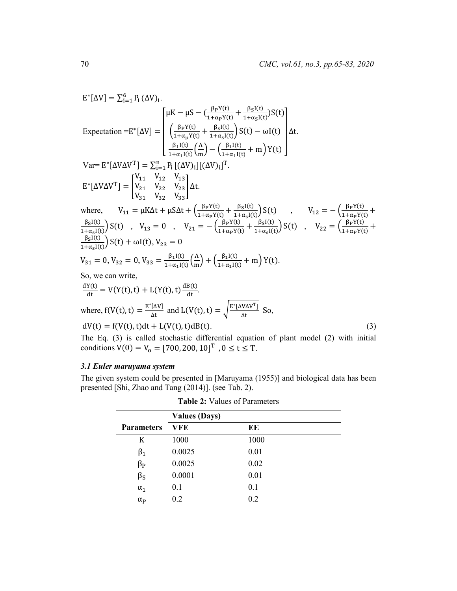$$
E^*[\Delta V] = \sum_{i=1}^6 P_i (\Delta V)_i.
$$
  
\nExpectation =  $E^*[\Delta V] = \begin{cases} \mu K - \mu S - (\frac{\beta_P Y(t)}{1 + \alpha_P Y(t)} + \frac{\beta_S I(t)}{1 + \alpha_S I(t)}) S(t) \\ \frac{\beta_I I(t)}{1 + \alpha_P Y(t)} + \frac{\beta_S I(t)}{1 + \alpha_S I(t)}) S(t) - \omega I(t) \end{cases} \Delta t.$   
\nVar=  $E^*[\Delta V \Delta V^T] = \sum_{i=1}^n P_i [(\Delta V)_i] [(\Delta V)_i]^T.$   
\n $E^*[\Delta V \Delta V^T] = \begin{bmatrix} V_{11} & V_{12} & V_{13} \\ V_{21} & V_{22} & V_{23} \\ V_{31} & V_{32} & V_{33} \end{bmatrix} \Delta t.$   
\nwhere,  $V_{11} = \mu K \Delta t + \mu S \Delta t + (\frac{\beta_P Y(t)}{1 + \alpha_P Y(t)} + \frac{\beta_S I(t)}{1 + \alpha_S I(t)}) S(t)$ ,  $V_{12} = -(\frac{\beta_P Y(t)}{1 + \alpha_P Y(t)} + \frac{\beta_S I(t)}{1 + \alpha_S I(t)}) S(t)$ ,  $V_{22} = (\frac{\beta_P Y(t)}{1 + \alpha_P Y(t)} + \frac{\beta_S I(t)}{1 + \alpha_S I(t)}) S(t) + \omega I(t), V_{23} = 0$   
\n $V_{31} = 0, V_{32} = 0, V_{33} = \frac{\beta_I I(t)}{1 + \alpha_I I(t)} (\frac{\Delta}{m}) + (\frac{\beta_I I(t)}{1 + \alpha_I I(t)} + m) Y(t).$   
\nSo, we can write,  
\n $\frac{dY(t)}{dt} = V(Y(t), t) + L(Y(t), t) \frac{dB(t)}{dt}.$   
\nwhere,  $f(V(t), t) = \frac{E^*[\Delta V]}{\Delta t}$  and  $L(V(t), t) = \sqrt{\frac{E^*[\Delta V \Delta V^T]}{\Delta t}}$  So,  
\n $dV(t) = f(V(t), t) dt + L(V(t), t) dB(t).$   
\nThe Eq. (3) is called stochastic differential equation of plant model (2) with initial

The Eq. (3) is called stochastic differential equation of plant model (2) with initial conditions  $V(0) = V_0 = [700, 200, 10]^T$ ,  $0 \le t \le T$ .

## *3.1 Euler maruyama system*

The given system could be presented in [Maruyama (1955)] and biological data has been presented [Shi, Zhao and Tang (2014)]. (see Tab. 2).

|                   | <b>Values (Days)</b> |      |  |
|-------------------|----------------------|------|--|
| <b>Parameters</b> | VFE                  | EE   |  |
| K                 | 1000                 | 1000 |  |
| $\beta_1$         | 0.0025               | 0.01 |  |
| $\beta_P$         | 0.0025               | 0.02 |  |
| $\beta_{\rm S}$   | 0.0001               | 0.01 |  |
| $\alpha_1$        | 0.1                  | 0.1  |  |
| $\alpha_{\rm P}$  | 0.2                  | 0.2  |  |

**Table 2:** Values of Parameters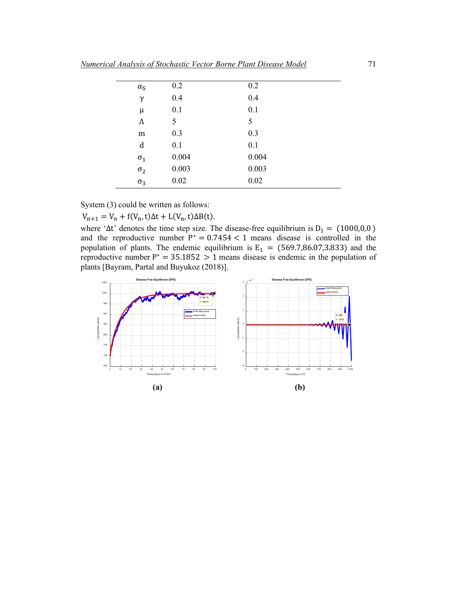| $\alpha_{\rm S}$ | 0.2   | 0.2   |  |
|------------------|-------|-------|--|
| $\gamma$         | 0.4   | 0.4   |  |
| μ                | 0.1   | 0.1   |  |
| Λ                | 5     | 5     |  |
| m                | 0.3   | 0.3   |  |
| d                | 0.1   | 0.1   |  |
| $\sigma_1$       | 0.004 | 0.004 |  |
| $\sigma_2$       | 0.003 | 0.003 |  |
| $\sigma_3$       | 0.02  | 0.02  |  |

System (3) could be written as follows:

 $V_{n+1} = V_n + f(V_n, t)\Delta t + L(V_n, t)\Delta B(t).$ 

where ' $\Delta t$ ' denotes the time step size. The disease-free equilibrium is  $D_1 = (1000, 0, 0)$ and the reproductive number  $P^* = 0.7454 < 1$  means disease is controlled in the population of plants. The endemic equilibrium is  $E_1 = (569.7,86.07,3.833)$  and the reproductive number  $P^* = 35.1852 > 1$  means disease is endemic in the population of plants [Bayram, Partal and Buyukoz (2018)].

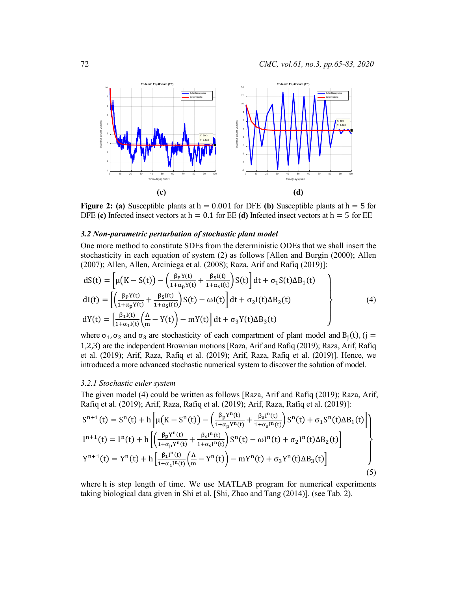

**Figure 2: (a)** Susceptible plants at  $h = 0.001$  for DFE **(b)** Susceptible plants at  $h = 5$  for DFE (c) Infected insect vectors at  $h = 0.1$  for EE (d) Infected insect vectors at  $h = 5$  for EE

#### *3.2 Non-parametric perturbation of stochastic plant model*

One more method to constitute SDEs from the deterministic ODEs that we shall insert the stochasticity in each equation of system (2) as follows [Allen and Burgin (2000); Allen (2007); Allen, Allen, Arciniega et al. (2008); Raza, Arif and Rafiq (2019)]:

$$
dS(t) = \left[\mu(K - S(t)) - \left(\frac{\beta_P Y(t)}{1 + \alpha_P Y(t)} + \frac{\beta_S I(t)}{1 + \alpha_S I(t)}\right) S(t)\right] dt + \sigma_1 S(t) \Delta B_1(t)
$$
  
\n
$$
dI(t) = \left[\left(\frac{\beta_P Y(t)}{1 + \alpha_P Y(t)} + \frac{\beta_S I(t)}{1 + \alpha_S I(t)}\right) S(t) - \omega I(t)\right] dt + \sigma_2 I(t) \Delta B_2(t)
$$
  
\n
$$
dY(t) = \left[\frac{\beta_I I(t)}{1 + \alpha_I I(t)} \left(\frac{\Lambda}{m} - Y(t)\right) - mY(t)\right] dt + \sigma_3 Y(t) \Delta B_3(t)
$$
\n(4)

where  $\sigma_1$ ,  $\sigma_2$  and  $\sigma_3$  are stochasticity of each compartment of plant model and B<sub>i</sub>(t), (j = 1,2,3) are the independent Brownian motions [Raza, Arif and Rafiq (2019); Raza, Arif, Rafiq et al. (2019); Arif, Raza, Rafiq et al. (2019); Arif, Raza, Rafiq et al. (2019)]. Hence, we introduced a more advanced stochastic numerical system to discover the solution of model.

#### *3.2.1 Stochastic euler system*

The given model (4) could be written as follows [Raza, Arif and Rafiq (2019); Raza, Arif, Rafiq et al. (2019); Arif, Raza, Rafiq et al. (2019); Arif, Raza, Rafiq et al. (2019)]:

$$
S^{n+1}(t) = S^{n}(t) + h \left[ \mu \left( K - S^{n}(t) \right) - \left( \frac{\beta_{p} Y^{n}(t)}{1 + \alpha_{p} Y^{n}(t)} + \frac{\beta_{s} I^{n}(t)}{1 + \alpha_{s} I^{n}(t)} \right) S^{n}(t) + \sigma_{1} S^{n}(t) \Delta B_{1}(t) \right]
$$
  
\n
$$
I^{n+1}(t) = I^{n}(t) + h \left[ \left( \frac{\beta_{p} Y^{n}(t)}{1 + \alpha_{p} Y^{n}(t)} + \frac{\beta_{s} I^{n}(t)}{1 + \alpha_{s} I^{n}(t)} \right) S^{n}(t) - \omega I^{n}(t) + \sigma_{2} I^{n}(t) \Delta B_{2}(t) \right]
$$
  
\n
$$
Y^{n+1}(t) = Y^{n}(t) + h \left[ \frac{\beta_{1} I^{n}(t)}{1 + \alpha_{1} I^{n}(t)} \left( \frac{\Delta}{m} - Y^{n}(t) \right) - m Y^{n}(t) + \sigma_{3} Y^{n}(t) \Delta B_{3}(t) \right]
$$
  
\n(5)

where h is step length of time. We use MATLAB program for numerical experiments taking biological data given in Shi et al. [Shi, Zhao and Tang (2014)]. (see Tab. 2).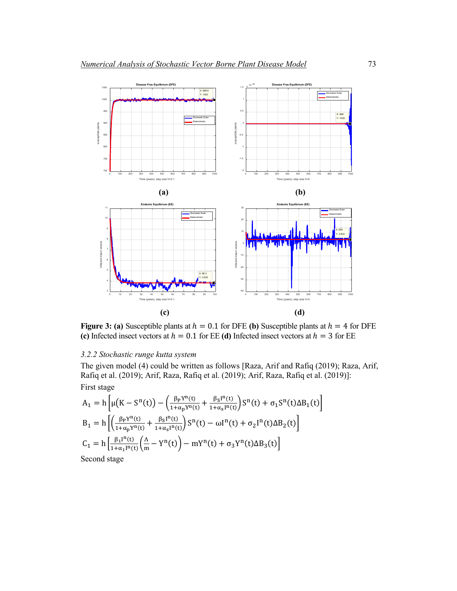

**Figure 3:** (a) Susceptible plants at  $h = 0.1$  for DFE (b) Susceptible plants at  $h = 4$  for DFE **(c)** Infected insect vectors at  $h = 0.1$  for EE **(d)** Infected insect vectors at  $h = 3$  for EE

## *3.2.2 Stochastic runge kutta system*

The given model (4) could be written as follows [Raza, Arif and Rafiq (2019); Raza, Arif, Rafiq et al. (2019); Arif, Raza, Rafiq et al. (2019); Arif, Raza, Rafiq et al. (2019)]: First stage

$$
A_{1} = h \left[ \mu \left( K - S^{n}(t) \right) - \left( \frac{\beta_{P} Y^{n}(t)}{1 + \alpha_{P} Y^{n}(t)} + \frac{\beta_{S} I^{n}(t)}{1 + \alpha_{S} I^{n}(t)} \right) S^{n}(t) + \sigma_{1} S^{n}(t) \Delta B_{1}(t) \right]
$$
  
\n
$$
B_{1} = h \left[ \left( \frac{\beta_{P} Y^{n}(t)}{1 + \alpha_{P} Y^{n}(t)} + \frac{\beta_{S} I^{n}(t)}{1 + \alpha_{S} I^{n}(t)} \right) S^{n}(t) - \omega I^{n}(t) + \sigma_{2} I^{n}(t) \Delta B_{2}(t) \right]
$$
  
\n
$$
C_{1} = h \left[ \frac{\beta_{1} I^{n}(t)}{1 + \alpha_{1} I^{n}(t)} \left( \frac{\Lambda}{m} - Y^{n}(t) \right) - m Y^{n}(t) + \sigma_{3} Y^{n}(t) \Delta B_{3}(t) \right]
$$
  
\nSecond stage

Second stage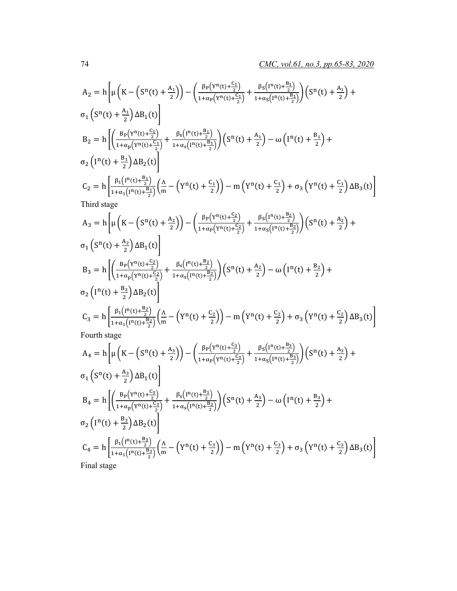$$
A_{2} = h \left[ \mu \left( K - \left( S^{n}(t) + \frac{A_{1}}{2} \right) \right) - \left( \frac{\beta_{P} \left( Y^{n}(t) + \frac{C_{1}}{2} \right)}{1 + \alpha_{P} \left( Y^{n}(t) + \frac{C_{1}}{2} \right)} + \frac{\beta_{S} \left( I^{n}(t) + \frac{B_{1}}{2} \right)}{1 + \alpha_{S} \left( I^{n}(t) + \frac{B_{1}}{2} \right)} \right) \left( S^{n}(t) + \frac{A_{1}}{2} \right) + o_{1} \left( S^{n}(t) + \frac{A_{1}}{2} \right) \Delta B_{1}(t)
$$
\n
$$
B_{2} = h \left[ \left( \frac{B_{P} \left( Y^{n}(t) + \frac{C_{1}}{2} \right)}{1 + \alpha_{P} \left( Y^{n}(t) + \frac{C_{1}}{2} \right)} + \frac{\beta_{S} \left( I^{n}(t) + \frac{B_{1}}{2} \right)}{1 + \alpha_{S} \left( I^{n}(t) + \frac{B_{1}}{2} \right)} \right) \left( S^{n}(t) + \frac{A_{1}}{2} \right) - \omega \left( I^{n}(t) + \frac{B_{1}}{2} \right) + o_{2} \left( I^{n}(t) + \frac{B_{1}}{2} \right) \Delta B_{2}(t)
$$
\n
$$
C_{2} = h \left[ \frac{\beta_{1} \left( I^{n}(t) + \frac{B_{1}}{2} \right)}{1 + \alpha_{1} \left( I^{n}(t) + \frac{B_{1}}{2} \right)} \left( \frac{\Lambda}{m} - \left( Y^{n}(t) + \frac{C_{1}}{2} \right) \right) - m \left( Y^{n}(t) + \frac{C_{1}}{2} \right) + o_{3} \left( Y^{n}(t) + \frac{C_{1}}{2} \right) \Delta B_{3}(t) \right]
$$
\nThird stage

$$
A_{3} = h \left[ \mu \left( K - \left( S^{n}(t) + \frac{A_{2}}{2} \right) \right) - \left( \frac{\beta_{P} \left( Y^{n}(t) + \frac{C_{2}}{2} \right)}{1 + \alpha_{P} \left( Y^{n}(t) + \frac{C_{2}}{2} \right)} + \frac{\beta_{S} \left( I^{n}(t) + \frac{B_{2}}{2} \right)}{1 + \alpha_{S} \left( I^{n}(t) + \frac{B_{2}}{2} \right)} \right) \left( S^{n}(t) + \frac{A_{2}}{2} \right) + \sigma_{1} \left( S^{n}(t) + \frac{A_{2}}{2} \right) \Delta B_{1}(t) \right]
$$
\n
$$
B_{3} = h \left[ \left( \frac{B_{P} \left( Y^{n}(t) + \frac{C_{2}}{2} \right)}{1 + \alpha_{P} \left( Y^{n}(t) + \frac{C_{2}}{2} \right)} + \frac{\beta_{S} \left( I^{n}(t) + \frac{B_{2}}{2} \right)}{1 + \alpha_{S} \left( I^{n}(t) + \frac{B_{2}}{2} \right)} \right) \left( S^{n}(t) + \frac{A_{2}}{2} \right) - \omega \left( I^{n}(t) + \frac{B_{2}}{2} \right) + \sigma_{2} \left( I^{n}(t) + \frac{B_{2}}{2} \right) \Delta B_{2}(t) \right]
$$
\n
$$
C_{3} = h \left[ \frac{\beta_{1} \left( I^{n}(t) + \frac{B_{2}}{2} \right)}{1 + \alpha_{1} \left( I^{n}(t) + \frac{B_{2}}{2} \right)} \left( \frac{\Lambda}{m} - \left( Y^{n}(t) + \frac{C_{2}}{2} \right) \right) - m \left( Y^{n}(t) + \frac{C_{2}}{2} \right) + \sigma_{3} \left( Y^{n}(t) + \frac{C_{2}}{2} \right) \Delta B_{3}(t) \right]
$$
\nFourth stage

$$
A_4 = h \left[ \mu \left( K - \left( S^n(t) + \frac{A_3}{2} \right) \right) - \left( \frac{\beta_P \left( Y^n(t) + \frac{C_3}{2} \right)}{1 + \alpha_P \left( Y^n(t) + \frac{C_3}{2} \right)} + \frac{\beta_S \left( I^n(t) + \frac{B_3}{2} \right)}{1 + \alpha_S \left( I^n(t) + \frac{B_3}{2} \right)} \right) \left( S^n(t) + \frac{A_3}{2} \right) + o_1 \left( S^n(t) + \frac{A_3}{2} \right) \Delta B_1(t) \right]
$$
  
\n
$$
B_4 = h \left[ \left( \frac{B_P \left( Y^n(t) + \frac{C_3}{2} \right)}{1 + \alpha_P \left( Y^n(t) + \frac{C_3}{2} \right)} + \frac{\beta_S \left( I^n(t) + \frac{B_3}{2} \right)}{1 + \alpha_S \left( I^n(t) + \frac{B_3}{2} \right)} \right) \left( S^n(t) + \frac{A_3}{2} \right) - \omega \left( I^n(t) + \frac{B_3}{2} \right) + o_2 \left( I^n(t) + \frac{B_3}{2} \right) \Delta B_2(t) \right]
$$
  
\n
$$
C_4 = h \left[ \frac{\beta_1 \left( I^n(t) + \frac{B_3}{2} \right)}{1 + \alpha_1 \left( I^n(t) + \frac{B_3}{2} \right)} \left( \frac{\Lambda}{m} - \left( Y^n(t) + \frac{C_3}{2} \right) \right) - m \left( Y^n(t) + \frac{C_3}{2} \right) + o_3 \left( Y^n(t) + \frac{C_3}{2} \right) \Delta B_3(t) \right]
$$
  
\nFinal stage

Final stage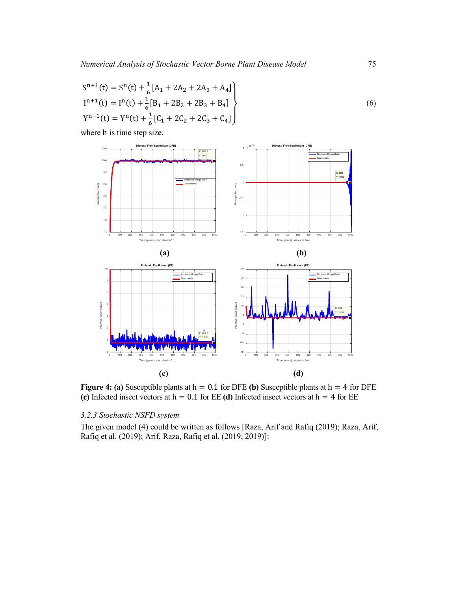$$
S^{n+1}(t) = S^{n}(t) + \frac{1}{6}[A_{1} + 2A_{2} + 2A_{3} + A_{4}]
$$
  
\n
$$
I^{n+1}(t) = I^{n}(t) + \frac{1}{6}[B_{1} + 2B_{2} + 2B_{3} + B_{4}]
$$
  
\n
$$
Y^{n+1}(t) = Y^{n}(t) + \frac{1}{6}[C_{1} + 2C_{2} + 2C_{3} + C_{4}]
$$
\n(6)

where h is time step size.



**Figure 4:** (a) Susceptible plants at  $h = 0.1$  for DFE (b) Susceptible plants at  $h = 4$  for DFE **(c)** Infected insect vectors at  $h = 0.1$  for EE **(d)** Infected insect vectors at  $h = 4$  for EE

## *3.2.3 Stochastic NSFD system*

The given model (4) could be written as follows [Raza, Arif and Rafiq (2019); Raza, Arif, Rafiq et al. (2019); Arif, Raza, Rafiq et al. (2019, 2019)]: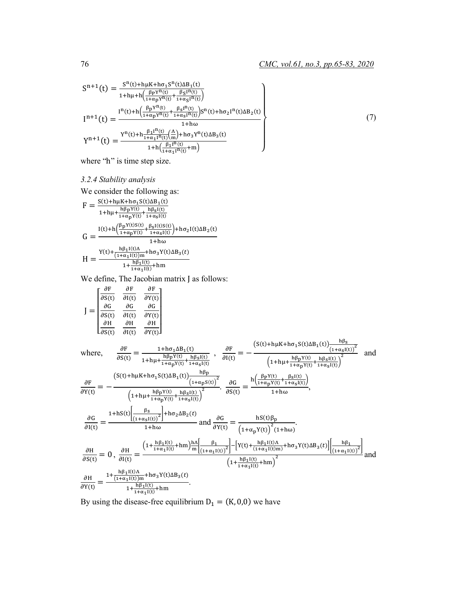(7)

$$
\begin{array}{l} S^{n+1}(t)=\frac{S^{n}(t)+h\mu K+h\sigma_{1}S^{n}(t)\Delta B_{1}(t)}{1+h\mu+h\left(\frac{\beta_{P}Y^{n}(t)}{1+\alpha_{P}Y^{n}(t)}+\frac{\beta_{S}I^{n}(t)}{1+\alpha_{S}I^{n}(t)}\right)}\\ \\ I^{n+1}(t)=\frac{I^{n}(t)+h\left(\frac{\beta_{P}Y^{n}(t)}{1+\alpha_{P}Y^{n}(t)}+\frac{\beta_{S}I^{n}(t)}{1+\alpha_{S}I^{n}(t)}\right)S^{n}(t)+h\sigma_{2}I^{n}(t)\Delta B_{2}(t)}{1+h\omega}\\ \\ Y^{n+1}(t)=\frac{Y^{n}(t)+h\frac{\beta_{1}I^{n}(t)}{1+\alpha_{1}I^{n}(t)}\left(\frac{\Lambda}{m}\right)+h\sigma_{3}Y^{n}(t)\Delta B_{3}(t)}{1+h\left(\frac{\beta_{1}I^{n}(t)}{1+\alpha_{1}I^{n}(t)}+m\right)}\\ \end{array}
$$

where "h" is time step size.

## *3.2.4 Stability analysis*

We consider the following as:

$$
F = \frac{S(t) + h\mu K + h\sigma_1 S(t)\Delta B_1(t)}{1 + h\mu + \frac{h\beta pY(t)}{1 + \alpha pY(t)} + \frac{h\beta sI(t)}{1 + \alpha sI(t)}}
$$
  
\n
$$
G = \frac{I(t) + h\left(\frac{\beta pY(t)S(t)}{1 + \alpha pY(t)} + \frac{\beta sI(t)S(t)}{1 + \alpha sI(t)}\right) + h\sigma_2 I(t)\Delta B_2(t)}{1 + h\omega}
$$
  
\n
$$
H = \frac{Y(t) + \frac{h\beta_1 I(t)\Delta}{(1 + \alpha_1 I(t))m} + h\sigma_3 Y(t)\Delta B_3(t)}{1 + \frac{h\beta_1 I(t)}{1 + \alpha_1 I(t)} + h m}
$$

We define, The Jacobian matrix J as follows:

$$
J = \begin{bmatrix} \frac{\partial F}{\partial S(t)} & \frac{\partial F}{\partial I(t)} & \frac{\partial F}{\partial Y(t)} \\ \frac{\partial G}{\partial S(t)} & \frac{\partial G}{\partial I(t)} & \frac{\partial G}{\partial Y(t)} \\ \frac{\partial H}{\partial S(t)} & \frac{\partial H}{\partial I(t)} & \frac{\partial H}{\partial Y(t)} \end{bmatrix}
$$

where,  
\n
$$
\frac{\partial F}{\partial S(t)} = \frac{1 + h\sigma_1 \Delta B_1(t)}{1 + h\mu + \frac{h\beta_P Y(t)}{1 + \alpha_P Y(t)} + \frac{h\beta_S I(t)}{1 + \alpha_S I(t)}} , \quad \frac{\partial F}{\partial I(t)} = -\frac{\left( S(t) + h\mu K + h\sigma_1 S(t) \Delta B_1(t) \right) \frac{h\beta_S}{(1 + \alpha_S I(t))} }{\left( 1 + h\mu + \frac{h\beta_P Y(t)}{1 + \alpha_P Y(t)} + \frac{h\beta_S I(t)}{1 + \alpha_S I(t)} \right)^2} \text{ and}
$$
\n
$$
\frac{\partial F}{\partial Y(t)} = -\frac{\left( S(t) + h\mu K + h\sigma_1 S(t) \Delta B_1(t) \right) \frac{h\beta_P}{(1 + \alpha_P S(t))}}{\left( 1 + h\mu + \frac{h\beta_P Y(t)}{1 + \alpha_S I(t)} + \frac{h\beta_S I(t)}{1 + \alpha_S I(t)} \right)^2} \cdot \frac{\partial G}{\partial S(t)} = \frac{h\left( \frac{\beta_P Y(t)}{1 + \alpha_P Y(t)} + \frac{\beta_S I(t)}{1 + \alpha_S I(t)} \right)}{1 + h\omega},
$$
\n
$$
\frac{\partial G}{\partial I(t)} = \frac{1 + hS(t) \left[ \frac{\beta_S}{(1 + \alpha_S I(t))^2} \right] + h\sigma_2 \Delta B_2(t)}{1 + h\omega} \text{ and } \frac{\partial G}{\partial Y(t)} = \frac{hS(t) \beta_P}{\left( 1 + \alpha_P Y(t) \right)^2 (1 + h\omega)}.
$$
\n
$$
\frac{\partial H}{\partial S(t)} = 0 \,, \quad \frac{\partial H}{\partial I(t)} = \frac{\left( 1 + \frac{h\beta_I I(t)}{1 + \alpha_I I(t)} + h\omega \right) \frac{h\Lambda}{m} \left[ \frac{\beta_I}{(1 + \alpha_I I(t))^2} \right] - \left[ Y(t) + \frac{h\beta_I I(t)}{(1 + \alpha_I I(t))^m} + h\sigma_3 Y(t) \Delta B_3(t) \right] \left[ \frac{h\beta_I}{(1 + \alpha_I I(t))^2} \right]}{\left( 1 + \frac{h\beta_I I(t)}{1 + \alpha_I I(t)} + h\omega \right)^2} \text{ and}
$$
\n
$$
\frac{\partial H}{\partial Y(t)} = \frac
$$

By using the disease-free equilibrium  $D_1 = (K, 0, 0)$  we have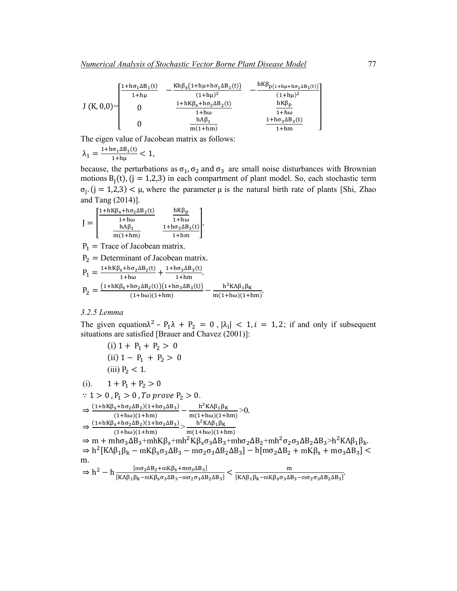|                | $[1 + h\sigma_1\Delta B_1(t)]$ | $Kh\beta_s(1+h\mu+h\sigma_1\Delta B_1(t))$ | $hK\beta_{p(1+h\mu+h\sigma_1\Delta B_1(t))}$ |
|----------------|--------------------------------|--------------------------------------------|----------------------------------------------|
| $J(K, 0, 0)$ = | $1 + h\mu$                     | $(1 + h\mu)^2$                             | $(1 + h\mu)^2$                               |
|                |                                | $1 + hK\beta_s + h\sigma_2\Delta B_2(t)$   | $hK\beta_p$                                  |
|                |                                | $1 + h\omega$                              | $1 + h\omega$                                |
|                |                                | $h \Lambda \beta_1$                        | $1 + h\sigma_3\Delta B_3(t)$                 |
|                |                                | $m(1+hm)$                                  | $1+hm$                                       |

The eigen value of Jacobean matrix as follows:

$$
\lambda_1 = \frac{1 + h\sigma_1 \Delta B_1(t)}{1 + h\mu} < 1,
$$

because, the perturbations as  $\sigma_1$ ,  $\sigma_2$  and  $\sigma_3$  are small noise disturbances with Brownian motions  $B_j(t)$ , (j = 1,2,3) in each compartment of plant model. So, each stochastic term  $\sigma_i$ . (j = 1,2,3) <  $\mu$ , where the parameter  $\mu$  is the natural birth rate of plants [Shi, Zhao and Tang (2014)].

$$
J=\begin{bmatrix} \frac{1+hK\beta_S+h\sigma_2\Delta B_2(t)}{1+h\omega} & \frac{hK\beta_P}{1+h\omega} \\ \frac{h\Lambda\beta_1}{m(1+hm)} & \frac{1+h\sigma_3\Delta B_3(t)}{1+hm} \end{bmatrix}\!.
$$

 $P_1$  = Trace of Jacobean matrix.

$$
P_2
$$
 = Determinant of Jacobean matrix.

$$
P_1 = \frac{1 + hK\beta_s + h\sigma_2 \Delta B_2(t)}{1 + h\omega} + \frac{1 + h\sigma_3 \Delta B_3(t)}{1 + h m}.
$$
  
\n
$$
P_2 = \frac{(1 + hK\beta_s + h\sigma_2 \Delta B_2(t))(1 + h\sigma_3 \Delta B_3(t))}{(1 + h\omega)(1 + h m)} - \frac{h^2 K\Lambda \beta_1 \beta_K}{m(1 + h\omega)(1 + h m)}.
$$

## *3.2.5 Lemma*

The given equation $\lambda^2$  –  $P_1\lambda$  +  $P_2$  = 0,  $|\lambda_i|$  < 1, i = 1, 2; if and only if subsequent situations are satisfied [Brauer and Chavez (2001)]:

(i) 
$$
1 + P_1 + P_2 > 0
$$
  
\n(ii)  $1 - P_1 + P_2 > 0$   
\n(iii)  $P_2 < 1$ .

$$
\begin{array}{llll} (i). & 1 + P_1 + P_2 > 0 \\ \therefore & 1 > 0 \ , P_1 > 0 \ , To \ prove \ P_2 > 0. \\ & \Rightarrow \frac{(1 + hK\beta_S + h\sigma_2\Delta B_2)(1 + h\sigma_3\Delta B_3)}{(1 + h\omega)(1 + hm)} - \frac{h^2K\Delta\beta_1\beta_K}{m(1 + h\omega)(1 + hm)} > 0. \\ & \Rightarrow \frac{(1 + hK\beta_S + h\sigma_2\Delta B_2)(1 + h\sigma_3\Delta B_3)}{(1 + h\omega)(1 + hm)} > \frac{h^2K\Delta\beta_1\beta_K}{m(1 + h\omega)(1 + hm)} \\ & \Rightarrow m + mh\sigma_3\Delta B_3 + mhK\beta_S + mh^2K\beta_S\sigma_3\Delta B_3 + mh\sigma_2\Delta B_2 + mh^2\sigma_2\sigma_3\Delta B_2\Delta B_3 > h^2K\Delta\beta_1\beta_k. \\ & \Rightarrow h^2\left[K\Delta\beta_1\beta_k - mK\beta_S\sigma_3\Delta B_3 - m\sigma_2\sigma_3\Delta B_2\Delta B_3\right] - h[m\sigma_2\Delta B_2 + mK\beta_S + m\sigma_3\Delta B_3] < m\\ & \Rightarrow h^2 - h\frac{[m\sigma_2\Delta B_2 + mK\beta_S + m\sigma_3\Delta B_3]}{[K\Delta\beta_1\beta_k - mK\beta_S\sigma_3\Delta B_3 - m\sigma_2\sigma_3\Delta B_2\Delta B_3]} < \frac{m}{[K\Delta\beta_1\beta_k - mK\beta_S\sigma_3\Delta B_3 - m\sigma_2\sigma_3\Delta B_2\Delta B_3]}. \end{array}
$$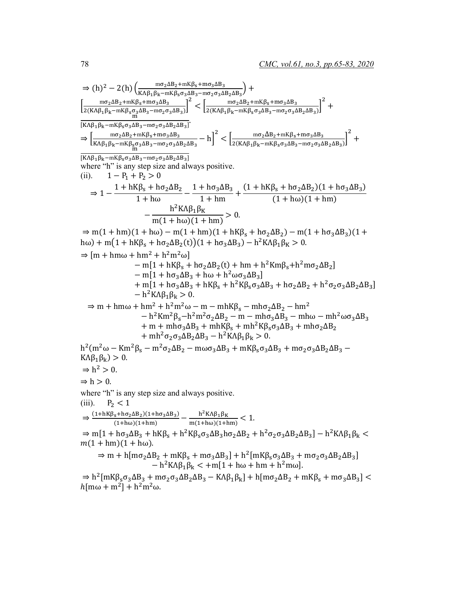$$
\Rightarrow (h)2 - 2(h)2 (π)2 - 2(h)2 (πα2AB2 + mKβ3 + mβ3α3B2 + mβ3 + mβ3α3B2 + mβ3 + mβ3α3B2 + mβ3 + mβ3α3B2 + mβ3 + mβ3α3B2 + mβ3 + mβ3α3B3 + mβ3α3B3 + mβ3α3B3 + mβ3α3B3 + mβ3α3B3 + mβ3α3B3 + mβ3α3B3 + mβ3α3B3 + mβ3α3B3 + mβ3α3B3 + mβ3α3B3 + mβ3α3B3 + mβ3α3B3 + mβ3α3B3 + mβ3α3B3 + mβ3α3B3 + mβ3α3B3 + mβ3α3B3} = h]2 
$$
+ \left[\frac{mα_2\Delta B_2}{1 + hα} + \frac{1}{hα_2\Delta B_2}\right] 2 + \left[\frac{1}{2(k\Delta B_2)kB_2}\right] 2 + 1 + hα3\Delta B_2
$$
$$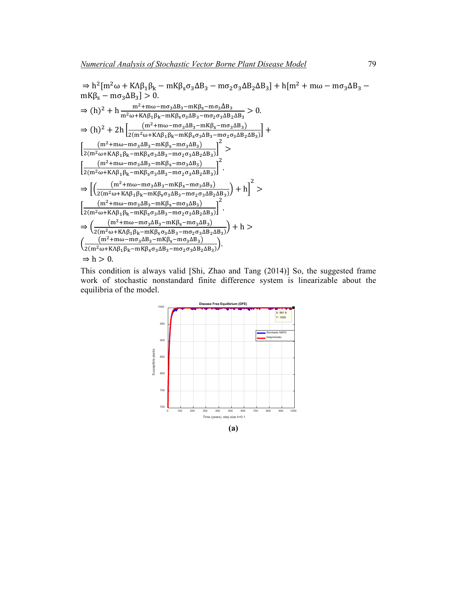

This condition is always valid [Shi, Zhao and Tang (2014)] So, the suggested frame work of stochastic nonstandard finite difference system is linearizable about the equilibria of the model.

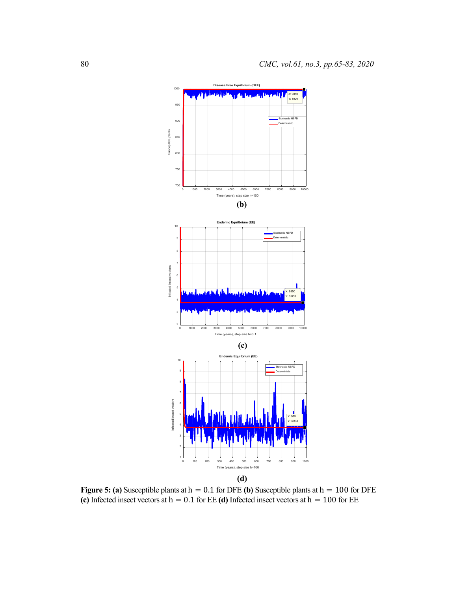

**Figure 5: (a)** Susceptible plants at h = 0.1 for DFE **(b)** Susceptible plants at h = 100 for DFE **(c)** Infected insect vectors at h = 0.1 for EE **(d)** Infected insect vectors at h = 100 for EE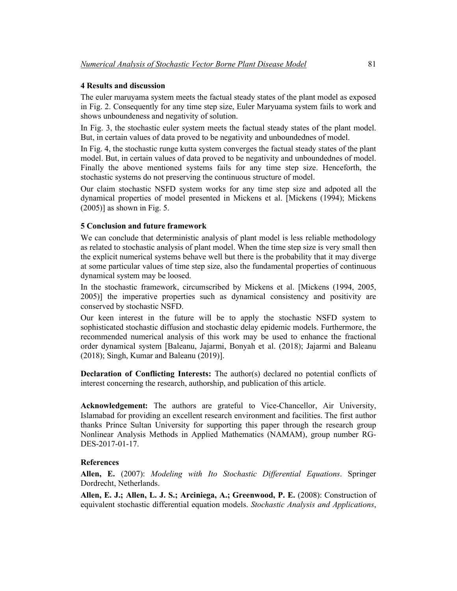### **4 Results and discussion**

The euler maruyama system meets the factual steady states of the plant model as exposed in Fig. 2. Consequently for any time step size, Euler Maryuama system fails to work and shows unboundeness and negativity of solution.

In Fig. 3, the stochastic euler system meets the factual steady states of the plant model. But, in certain values of data proved to be negativity and unboundednes of model.

In Fig. 4, the stochastic runge kutta system converges the factual steady states of the plant model. But, in certain values of data proved to be negativity and unboundednes of model. Finally the above mentioned systems fails for any time step size. Henceforth, the stochastic systems do not preserving the continuous structure of model.

Our claim stochastic NSFD system works for any time step size and adpoted all the dynamical properties of model presented in Mickens et al. [Mickens (1994); Mickens  $(2005)$ ] as shown in Fig. 5.

#### **5 Conclusion and future framework**

We can conclude that deterministic analysis of plant model is less reliable methodology as related to stochastic analysis of plant model. When the time step size is very small then the explicit numerical systems behave well but there is the probability that it may diverge at some particular values of time step size, also the fundamental properties of continuous dynamical system may be loosed.

In the stochastic framework, circumscribed by Mickens et al. [Mickens (1994, 2005, 2005)] the imperative properties such as dynamical consistency and positivity are conserved by stochastic NSFD.

Our keen interest in the future will be to apply the stochastic NSFD system to sophisticated stochastic diffusion and stochastic delay epidemic models. Furthermore, the recommended numerical analysis of this work may be used to enhance the fractional order dynamical system [Baleanu, Jajarmi, Bonyah et al. (2018); Jajarmi and Baleanu (2018); Singh, Kumar and Baleanu (2019)].

**Declaration of Conflicting Interests:** The author(s) declared no potential conflicts of interest concerning the research, authorship, and publication of this article.

**Acknowledgement:** The authors are grateful to Vice-Chancellor, Air University, Islamabad for providing an excellent research environment and facilities. The first author thanks Prince Sultan University for supporting this paper through the research group Nonlinear Analysis Methods in Applied Mathematics (NAMAM), group number RG-DES-2017-01-17.

#### **References**

**Allen, E.** (2007): *Modeling with Ito Stochastic Differential Equations*. Springer Dordrecht, Netherlands.

**Allen, E. J.; Allen, L. J. S.; Arciniega, A.; Greenwood, P. E.** (2008): Construction of equivalent stochastic differential equation models. *Stochastic Analysis and Applications*,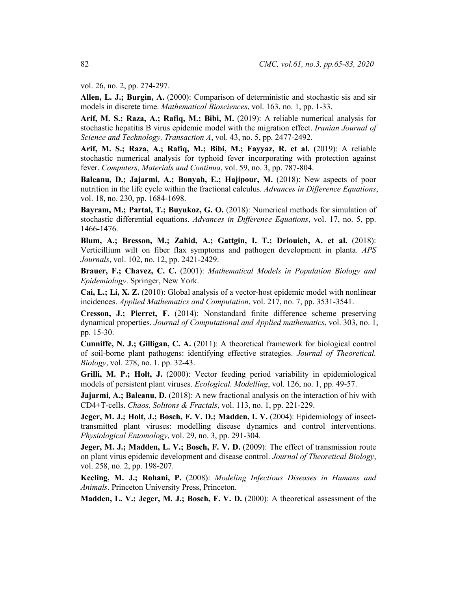vol. 26, no. 2, pp. 274-297.

**Allen, L. J.; Burgin, A.** (2000): Comparison of deterministic and stochastic sis and sir models in discrete time. *Mathematical Biosciences*, vol. 163, no. 1, pp. 1-33.

**Arif, M. S.; Raza, A.; Rafiq, M.; Bibi, M.** (2019): A reliable numerical analysis for stochastic hepatitis B virus epidemic model with the migration effect. *Iranian Journal of Science and Technology, Transaction A*, vol. 43, no. 5, pp. 2477-2492.

**Arif, M. S.; Raza, A.; Rafiq, M.; Bibi, M.; Fayyaz, R. et al.** (2019): A reliable stochastic numerical analysis for typhoid fever incorporating with protection against fever. *Computers, Materials and Continua*, vol. 59, no. 3, pp. 787-804.

**Baleanu, D.; Jajarmi, A.; Bonyah, E.; Hajipour, M.** (2018): New aspects of poor nutrition in the life cycle within the fractional calculus. *Advances in Difference Equations*, vol. 18, no. 230, pp. 1684-1698.

**Bayram, M.; Partal, T.; Buyukoz, G. O.** (2018): Numerical methods for simulation of stochastic differential equations. *Advances in Difference Equations*, vol. 17, no. 5, pp. 1466-1476.

**Blum, A.; Bresson, M.; Zahid, A.; Gattgin, I. T.; Driouich, A. et al.** (2018): Verticillium wilt on fiber flax symptoms and pathogen development in planta. *APS Journals*, vol. 102, no. 12, pp. 2421-2429.

**Brauer, F.; Chavez, C. C.** (2001): *Mathematical Models in Population Biology and Epidemiology*. Springer, New York.

**Cai, L.; Li, X. Z.** (2010): Global analysis of a vector-host epidemic model with nonlinear incidences. *Applied Mathematics and Computation*, vol. 217, no. 7, pp. 3531-3541.

**Cresson, J.; Pierret, F.** (2014): Nonstandard finite difference scheme preserving dynamical properties. *Journal of Computational and Applied mathematics*, vol. 303, no. 1, pp. 15-30.

**Cunniffe, N. J.; Gilligan, C. A.** (2011): A theoretical framework for biological control of soil-borne plant pathogens: identifying effective strategies. *Journal of Theoretical. Biology*, vol. 278, no. 1. pp. 32-43.

**Grilli, M. P.; Holt, J.** (2000): Vector feeding period variability in epidemiological models of persistent plant viruses. *Ecological. Modelling*, vol. 126, no. 1, pp. 49-57.

**Jajarmi, A.; Baleanu, D.** (2018): A new fractional analysis on the interaction of hiv with CD4+T-cells. *Chaos, Solitons & Fractals*, vol. 113, no. 1, pp. 221-229.

**Jeger, M. J.; Holt, J.; Bosch, F. V. D.; Madden, I. V.** (2004): Epidemiology of insecttransmitted plant viruses: modelling disease dynamics and control interventions. *Physiological Entomology*, vol. 29, no. 3, pp. 291-304.

Jeger, M. J.; Madden, L. V.; Bosch, F. V. D. (2009): The effect of transmission route on plant virus epidemic development and disease control. *Journal of Theoretical Biology*, vol. 258, no. 2, pp. 198-207.

**Keeling, M. J.; Rohani, P.** (2008): *Modeling Infectious Diseases in Humans and Animals*. Princeton University Press, Princeton.

**Madden, L. V.; Jeger, M. J.; Bosch, F. V. D.** (2000): A theoretical assessment of the